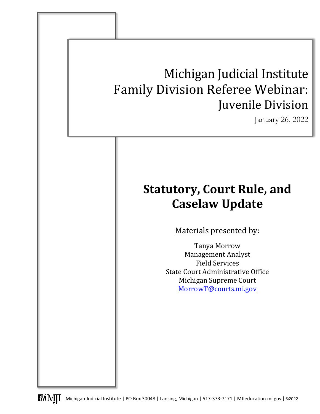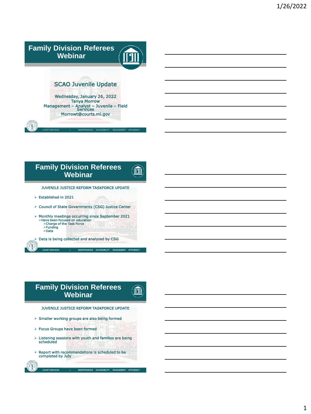

.<br>ICE ∧CCESSIBILITY ENGAGEMENT EFFIC

m

<u>in</u>

# **Family Division Referees Webinar**

JUVENILE JUSTICE REFORM TASKFORCE UPDATE

- Established in 2021
- Council of State Governments (CSG) Justice Center
- Monthly meetings occurring since September 2021 Have been focused on education Charge of the Task Force ≻Funding<br>≻Data
- Data is being collected and analyzed by CSG

## **Family Division Referees Webinar**



COURT SERVICES | INDEPENDENCE ∙ ACCESSIBILITY ∙ ENGAGEMENT ∙ EFFICIENCY

- $>$  Smaller working groups are also being formed
- $\triangleright$  Focus Groups have been formed
- $\triangleright$  Listening sessions with youth and families are being scheduled

CE ∙ ACCESSIBILITY ∙ ENGAGEMENT ∙ EFF

 $\triangleright$  Report with recommendations is scheduled to be completed by July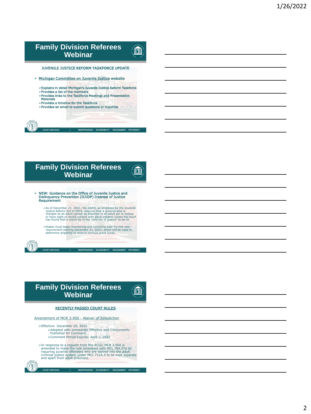# **Family Division Referees**  <u>in</u> **Webinar** JUVENILE JUSTICE REFORM TASKFORCE UPDATE > [Michigan Committee on Juvenile Justice](https://michigancommitteeonjuvenilejustice.com/jj-reform-task-force/) website Explains in detail Michigan's Juvenile Justice Reform Taskforce Provides a list of the members Provides links to the Taskforce Meetings and Presentation Materials Provides a timeline for the Taskforce Provides an email to submit questions or inquiries

.<br>ICE ∙ ACCESSIBILITY ∙ ENGAGEMENT ∙ EFFIC

m

<u>іПІІ</u>

## **Family Division Referees Webinar**

- NEW: Guidance on the Office of Juvenile Justice and Delinquency Prevention (OJJDP) Interest of Justice Requirement
	- $\triangleright$  As of December 21, 2021, the JJUPA, as amended by the Juvenile<br>Justice Reform Act of 2018, requires that a juvenile who is<br>charged as an adult cannot be detained in an adult jail or lockup<br>or have sight or sound co
	- States must begin monitoring and collecting data for this new requirement starting December 21, 2021, which will be used to determine eligibility to receive formula grant funds.

#### **Family Division Referees Webinar**



.<br>COURT SERVICE ∙ ACCESSIBILITY ∙ ENGAGEMENT ∙ EFFICI

#### RECENTLY PASSED COURT RULES

#### [Amendment of MCR 3.950 -](https://www.courts.michigan.gov/4b0dca/siteassets/rules-instructions-administrative-orders/proposed-and-recently-adopted-orders-on-admin-matters/adopted-orders/2021-47_2021-12-29_formattedorder_amendtofmcr3.950.pdf) Waiver of Jurisdiction

Effective: December 29, 2021 Adopted with Immediate Effective and Concurrently Published for Comment Comment Period Expires: April 1, 2022

 $\triangleright$ In response to a request from the ACLU, MCR 3.950 is<br>amended to make the rule consistent with MCL 764.27a by<br>requiring juvenile offenders who are waived into the adult<br>criminal justice system under MCL 712A.4 to be

COURT SERVICES | INDEPENDENCE ∙ ACCESSIBILITY ∙ ENGAGEMENT ∙ EFFICIEI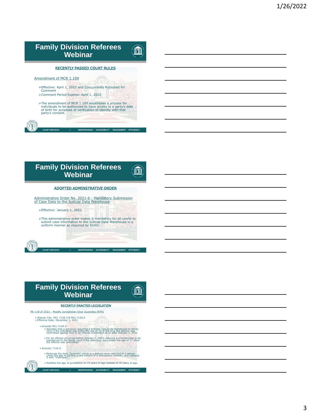| <b>Family Division Referees</b><br>Webinar                                                                                                                                                                |
|-----------------------------------------------------------------------------------------------------------------------------------------------------------------------------------------------------------|
| <b>RECENTLY PASSED COURT RULES</b>                                                                                                                                                                        |
| Amendment of MCR 1.109                                                                                                                                                                                    |
| >Effective: April 1, 2022 and Concurrently Published for<br>Comment<br>>Comment Period Expires: April 1, 2022                                                                                             |
| >The amendment of MCR 1.109 establishes a process for<br>individuals to be authorized to have access to a party's date<br>of birth for purposes of verification of identity with that<br>party's consent. |
| <b>COURT SERVICES</b><br>INDEPENDENCE ACCESSIBILITY ENGAGEMENT EFFICIENCY                                                                                                                                 |





- For an offense occurring before October 1, 2021, requires a criminal case to be transferred to the family court if the individual were under the age of 17 when the offense was committed.
- $\triangleright$  Amends 712A.5:
	- Removes the term "juvenile", which is a defined term referring to a person under the age of 18 who is the subject of a delinquency petition, and replaces it with "individual."
	- COURT SERVICES | INDEPENDENCE ∙ ACCESSIBILITY ∙ ENGAGEMENT ∙ EFFIC Modifies the age of jurisdiction to 19 years of age instead of 18 years of age.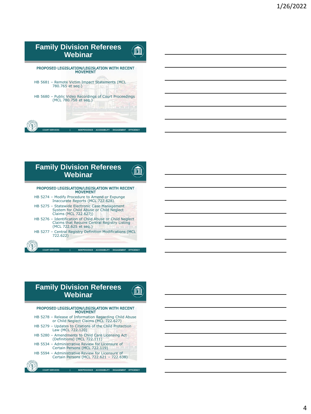#### **Family Division Referees**  <u>іПі</u> **Webinar**

COURT SERVICES | INDEPENDENCE ∙ ACCESSIBILITY ∙ ENGAGEMENT ∙ EFFICIENCY PROPOSED LEGISLATION/LEGISLATION WITH RECENT MOVEMENT HB 5681 – Remote Victim Impact Statements (MCL 780.765 et seq.) HB 5680 – Public Video Recordings of Court Proceedings (MCL 780.758 et seq.)



## **Family Division Referees Webinar**

Ⅲ

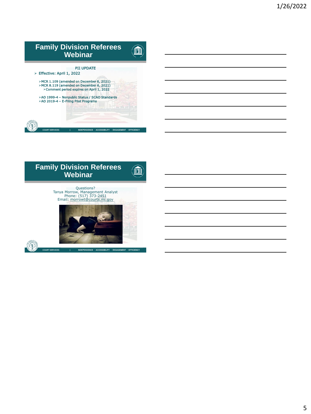

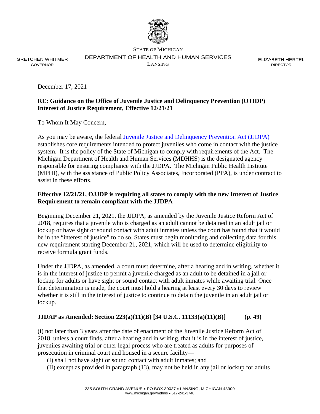

GRETCHEN WHITMER GOVERNOR

STATE OF MICHIGAN DEPARTMENT OF HEALTH AND HUMAN SERVICES LANSING

ELIZABETH HERTEL DIRECTOR

December 17, 2021

#### **RE: Guidance on the Office of Juvenile Justice and Delinquency Prevention (OJJDP) Interest of Justice Requirement, Effective 12/21/21**

To Whom It May Concern,

As you may be aware, the federal [Juvenile Justice and Delinquency Prevention Act \(JJDPA\)](https://ojjdp.ojp.gov/sites/g/files/xyckuh176/files/media/document/254285.pdf) establishes core requirements intended to protect juveniles who come in contact with the justice system. It is the policy of the State of Michigan to comply with requirements of the Act. The Michigan Department of Health and Human Services (MDHHS) is the designated agency responsible for ensuring compliance with the JJDPA. The Michigan Public Health Institute (MPHI), with the assistance of Public Policy Associates, Incorporated (PPA), is under contract to assist in these efforts.

#### **Effective 12/21/21, OJJDP is requiring all states to comply with the new Interest of Justice Requirement to remain compliant with the JJDPA**

Beginning December 21, 2021, the JJDPA, as amended by the Juvenile Justice Reform Act of 2018, requires that a juvenile who is charged as an adult cannot be detained in an adult jail or lockup or have sight or sound contact with adult inmates unless the court has found that it would be in the "interest of justice" to do so. States must begin monitoring and collecting data for this new requirement starting December 21, 2021, which will be used to determine eligibility to receive formula grant funds.

Under the JJDPA, as amended, a court must determine, after a hearing and in writing, whether it is in the interest of justice to permit a juvenile charged as an adult to be detained in a jail or lockup for adults or have sight or sound contact with adult inmates while awaiting trial. Once that determination is made, the court must hold a hearing at least every 30 days to review whether it is still in the interest of justice to continue to detain the juvenile in an adult jail or lockup.

#### **JJDAP as Amended: Section 223(a)(11)(B) [34 U.S.C. 11133(a)(11)(B)] (p. 49)**

(i) not later than 3 years after the date of enactment of the Juvenile Justice Reform Act of 2018, unless a court finds, after a hearing and in writing, that it is in the interest of justice, juveniles awaiting trial or other legal process who are treated as adults for purposes of prosecution in criminal court and housed in a secure facility—

(I) shall not have sight or sound contact with adult inmates; and

(II) except as provided in paragraph (13), may not be held in any jail or lockup for adults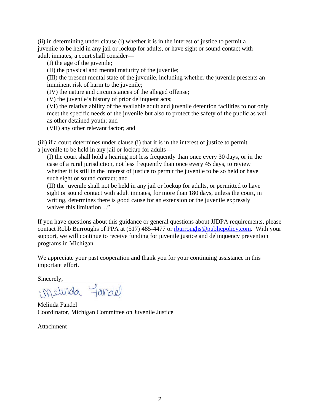(ii) in determining under clause (i) whether it is in the interest of justice to permit a juvenile to be held in any jail or lockup for adults, or have sight or sound contact with adult inmates, a court shall consider—

(I) the age of the juvenile;

(II) the physical and mental maturity of the juvenile;

(III) the present mental state of the juvenile, including whether the juvenile presents an imminent risk of harm to the juvenile;

(IV) the nature and circumstances of the alleged offense;

(V) the juvenile's history of prior delinquent acts;

(VI) the relative ability of the available adult and juvenile detention facilities to not only meet the specific needs of the juvenile but also to protect the safety of the public as well as other detained youth; and

(VII) any other relevant factor; and

(iii) if a court determines under clause (i) that it is in the interest of justice to permit a juvenile to be held in any jail or lockup for adults—

(I) the court shall hold a hearing not less frequently than once every 30 days, or in the case of a rural jurisdiction, not less frequently than once every 45 days, to review whether it is still in the interest of justice to permit the juvenile to be so held or have such sight or sound contact; and

(II) the juvenile shall not be held in any jail or lockup for adults, or permitted to have sight or sound contact with adult inmates, for more than 180 days, unless the court, in writing, determines there is good cause for an extension or the juvenile expressly waives this limitation…"

If you have questions about this guidance or general questions about JJDPA requirements, please contact Robb Burroughs of PPA at (517) 485-4477 or [rburroughs@publicpolicy.com.](mailto:rburroughs@publicpolicy.com) With your support, we will continue to receive funding for juvenile justice and delinquency prevention programs in Michigan.

We appreciate your past cooperation and thank you for your continuing assistance in this important effort.

Sincerely,

imelunda fandel

Melinda Fandel Coordinator, Michigan Committee on Juvenile Justice

Attachment